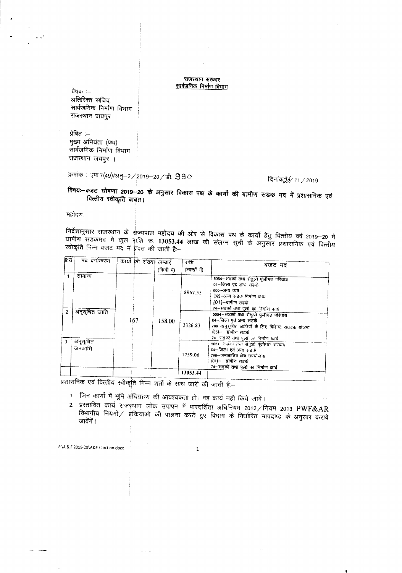## राजस्थान सरकार सार्वजनिक निर्माण विमाग

प्रेषक :--अतिरिक्त सचिव, सार्वजनिक निर्माण विभाग राजस्थान जयपुर

प्रेषित :--मुख्य अभियंता (पथ) सार्वजनिक निर्माण विभाग राजस्थान जयपुर ।

क्रमांक : एफ.7(49)/अनु–2/2019–20/डी. 990

## दिनांक926/11 / 2019

विषय:--बजट घोषणा 2019-20 के अनुसार विकास पथ के कार्यों की ग्रामीण सडक मद में प्रशासनिक एवं वित्तीय स्वीकृति बाबत।

महोदय

निर्देशानुसार राजस्थान के र्राज्यपाल महोदय की ओर से विकास पथ के कार्यो हेतु वित्तीय वर्ष 2019—20 में<br>ग्रामीण सडकमद में कुल राशि रू. 13053.44 लाख की संलग्न सूची के अनुसार प्रशासनिक एवं वित्तीय<br>स्वीकृति निम्न बजट मद में प्र

| ब्र.स | मद वर्गीकरण              | कार्यो की संख्या लम्बाई |            | राशि        | बजट मद                                                                                                                                                                                                           |
|-------|--------------------------|-------------------------|------------|-------------|------------------------------------------------------------------------------------------------------------------------------------------------------------------------------------------------------------------|
|       |                          |                         | (केमी में) | (लाखों में) |                                                                                                                                                                                                                  |
| 2     | सामान्य<br>अनूसूचित जाति |                         |            | 8967.55     | 5054-सडको तथा सेतुओं पुंजीगत परिव्यय<br>04–जिला एवं अन्य सहकें<br>800-अन्य व्यय<br>(02)-अन्य सडक निर्माण कार्य<br>[01]-ग्रामीण सडके<br>74-सडको तथा पूलों का निर्माण कार्य<br>5054-सडको तथा संतुओं पूजीगत परिव्यय |
|       |                          | 167                     | 158.00     | 2326.83     | 04–जिला एवं अन्य सडके<br>789-अनुसूचित जातियों के लिए विशिष्ट संघटक योजना<br>(05)- ग्रामीण सडके<br>74-संडको तथा पूर्तो का निर्माण कार्य                                                                           |
| з     | अनूसूचित<br>অনঅানি       |                         |            | 1759.06     | 5054– सडको तथा से:(ओ पूंजीगत: परिव्यय<br>०४–जिल। एवं अन्य सडकें<br>?९६–जनजातिय क्षेत्र उपयोजना<br>(07)— ग्रामीण सडके<br>74-सडकों तथा पूलों का निर्माण कार्य                                                      |
|       |                          |                         |            | 13053.44    |                                                                                                                                                                                                                  |

प्रशासनिक एवं वित्तीय स्वीकृति निम्न शर्तों के साथ जारी की जाती है:--

**Allen** 

- 1. जिन कार्यों में भूमि अधिग्रहण की आवश्यकता हो। वह कार्य नही किये जावें।
- 2. प्रस्तावित कार्य राजस्थान लोक उपापन में पारदर्शिता अधिनियम 2012/नियम 2013 PWF&AR विभागीय नियमों / प्रकियाओं की पालना करते हुए विभाग के निर्धारित मापदण्ड के अनुसार कराये जावेंगें ।

F:\A & F 2019-20\A&F sanction.docx

 $\,1$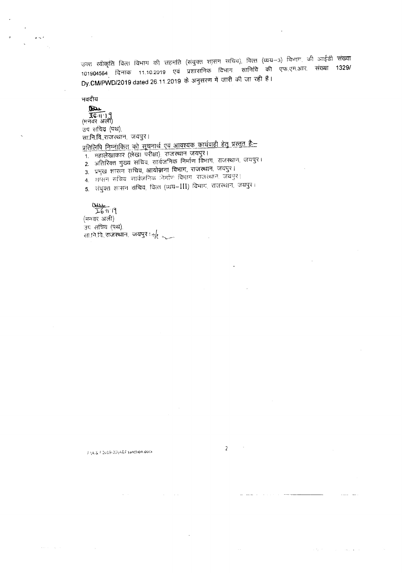उक्त स्वीकृति वित्त विभाग की सहमति (संयुक्त शासन सचिव), वित्त (व्यय—3) विभाग, की आईडी संख्या 101904564 दिनांक 11.10.2019 एवं प्रशासनिक दिभाग सानिवि की एफ.एम.आर. संख्या 1329/ Dy.CM/PWD/2019 dated 26.11.2019 के अनुसरण में जारी की जा रही है।

भवदीय

Du  $\frac{26}{16}$  | 1 ]<br>(मनवर अली) उप सचिव (पथ). सा.नि.वि.,राजस्थान, जयपुर। <u>प्रतिलिपि निम्नाकित को सूचनार्थ एवं आवश्यक कार्यवाही हेतु प्रस्तुत है:--</u> 1. महालेखाकार (लेखा परीक्षा) राजस्थान जयपुर।

2. अतिरिक्त मुख्य सचिव, सार्वजनिक निर्माण विभाग, राजस्थान, जयपुर ।

3. प्रमुख शासन सचिव, आयोजना विभाग, राजस्थान, जयपुर।

4. शासन सबिब सार्वजनिक निर्माण विभाग राजस्थान जयपुर।

5. संयुक्त शासन सचिव, वित्त (व्यय-III) विभाग, राजस्थान, जयपुर।

 $\frac{0.001}{26}$  11 19

(मनवर अली) उप सचिव (पथ). सानियि राजस्थान जयपुर । (

FINA & FI2019-20\A&Fisanction.docx

 $\omega_{\rm{max}} = \omega_{\rm{max}}$ 

 $\overline{z}$ 

 $\sim$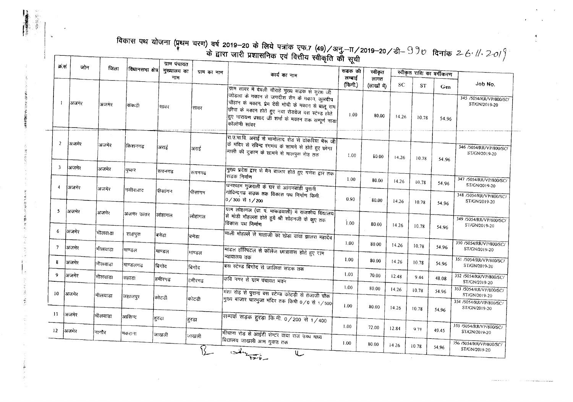| क्रं सं                 | जोन    | जिला    | विधानसभा क्षेत्र | मुख्यालय का<br>नाम | ग्राम का नाम | विकास पथ योजना (प्रथम चरण) वर्ष 2019–20 के लिये पत्रांक एफ.7 (49)/अनु.—TT/2019–20/डी– $9\%$ दिनांक 2-6 <sup>,</sup> //, 2-0/ $\%$<br>कार्य का नाम                                                                                                                                   | सडक की<br>लम्बाई | स्वीकृत             |           | स्वीकृत राशि का वर्गीकरण |       |                                          |
|-------------------------|--------|---------|------------------|--------------------|--------------|-------------------------------------------------------------------------------------------------------------------------------------------------------------------------------------------------------------------------------------------------------------------------------------|------------------|---------------------|-----------|--------------------------|-------|------------------------------------------|
|                         |        |         |                  |                    |              |                                                                                                                                                                                                                                                                                     | (किमी.)          | लागत<br>(लाखों में) | <b>SC</b> | <b>ST</b>                | Gen   | Job No.                                  |
|                         | अजमेर  | अजमेर   | ककडी             | सावर               | सावर         | ग्राम सावर में देवली चौराहे मुख्य सडक से सुरेश जी<br>जोडला के गकान से जगदीश सैन के गकान, कुलदीप<br> चौहान के मकान, प्रेम देवी मोची के मकान से बालू राम<br>छीपा के मकान होते हुए नया रोडवेज वस स्टेण्ड होते<br>हुए नारायण प्रसाद जी शर्मा के मकान तक सम्पूर्ण नाडा <br>कॉलोनी सांक्र | 1.00             | 80.00               | 14.26     | 10.78                    | 54.96 | 345 /5054/RR/VP/800/SC/<br>ST/GN/2019-20 |
| $\overline{2}$          | अजमेर  | अजमेर   | किशनगढ           | अराई               | अराई         | रा उ.मा.वि. अराई से भामोलाद रोड से ठोकरिया भैरू जी<br>कि मंदिर से रविन्द्र रंगमंच के सामने से होते हुए छोगा<br>माली की दुकान के सामने से मालपुरा रोड तक                                                                                                                             | 1.00             |                     |           |                          |       | 346 /5054/RR/VP/800/SC/<br>ST/GN/2019-20 |
| $\overline{\mathbf{3}}$ | अजमेर  | अजमेर   | पष्टहर           | रूपनगढ             | रुपनगढ       | मुख्य प्रदेश द्वार से मैन बाजार होते हुए गणेश द्वार तक<br>सङक निर्माण                                                                                                                                                                                                               |                  | 80.00               | 14.26     | 10.78                    | 54.96 |                                          |
| $\overline{4}$          | अजमेर  |         |                  |                    |              | घनश्याम गुजराती के घर से आंगनबाडी पुरानी                                                                                                                                                                                                                                            | 1.00             | 80.00               | 14.26     | 10.78                    | 54.96 | 347 /5054/RR/VP/800/SC/<br>ST/GN/2019-20 |
|                         |        | अजमेर   | नसीरावाद         | पीसांगन            | पीसांगन      | गोविन्दगढ सउक तक विकास पथ निर्माण किमी<br> 0⁄300 से 1⁄200                                                                                                                                                                                                                           | 0.90             | 80.00               | 14.26     | 10.78                    | 54.96 | 348 /5054/RR/VP/800/SC/<br>ST/GN/2019-20 |
| 5                       | अजमेर  | अजमेर   | अजमर उत्तर       | लोहागल             | लोहागल       | .<br>याम लोहागल (ग्रा. प. माकडवाली) में राजकीय विद्यालय<br> से मोडी मौहल्ला होते हुये श्री सोहनजी के कुए तक<br>विकास पथ निर्माण                                                                                                                                                     | 1.00             | 80.00               | 14.26     | 10.78                    | 54.96 | 349 /5054/RR/VP/800/SC/<br>ST/GN/2019-20 |
| 6                       | अजमेर  | भीलवाडा | शाहपुरा          | बनेडा              | बिनेडा       | माली मोहल्ले से माताजी का खेड़ा वाया झालरा महादेव                                                                                                                                                                                                                                   |                  |                     |           |                          |       |                                          |
| $7\phantom{.0}$         | ।अजमेर | भीलवाडा | ।माण्डल          | माण्डल             | गाण्डल       | मांडल हॉरियटल से कॉलेज छात्रावास होते हुए राम                                                                                                                                                                                                                                       | 1,00             | 80.00               | 14.26     | 10.78                    | 54.96 | 350 /5054/RR/VP/800/SC/<br>ST/GN/2019-20 |
| 8                       | अजमेर  | भीलवाडा | ¦माण्डलगढ        | बिगोट              | बिगोद        | न्यायालय तक<br>बिस स्टेण्ड बिगोद से जालिया सड़क तक                                                                                                                                                                                                                                  | 1.00             | 80.00               | 14.26     | 10.78                    | 54.96 | 351 /5054/RR/VP/800/SC/<br>ST/GN/2019-20 |
| 9                       | अजमेर  | भीलवाडा | सहाडा            | हमीरगढ             | हमीरगढ       | कवि नगर से ग्राम पंचायत भवन                                                                                                                                                                                                                                                         | 1.00             | 70.00               | 12.48     | 9.44                     | 48.08 | 352 /5054/RR/VP/800/SC/<br>ST/GN/2019-20 |
| 10 <sup>°</sup>         | अजमेर  | भीलवाडा | जहाजपुर          | कोटडी              |              | मंशा रोड़ से पुराना वस स्टेण्ड कोटड़ी से तेजाजी चौक                                                                                                                                                                                                                                 | 1.00             | 80.00               | 14.26     | 10.78                    | 54.96 | 353 /5054/RR/VP/800/SC/<br>ST/GN/2019-20 |
| 11                      | अजमेर  |         |                  |                    | कोटडी        | मुख्य बाजार चारभुजा मंदिर तक किमी 0/0 से 1/500                                                                                                                                                                                                                                      | 1.00             | 80.00               | 14.26     | 10.78                    | 54.96 | 354 /5054/RR/VP/800/SC/<br>ST/GN/2019-20 |
|                         |        | भीलवाडा | आसिन्द           | हरडा               | हरडा         | सम्पर्क सड़क हुरड़ा कि.मी. 0/200 से 1/400                                                                                                                                                                                                                                           | 1.00             | 72.00               | 12.84     | 9.71                     |       | 355 /5054/RR/VP/800/SC/                  |
| 12 <sup>2</sup>         | अजमेर  | नागौर   | मिकराना          | जाखली              | जाखली        | भींचाना रोड से आईटी सेन्टर वाया राज उच्च माध्य<br>विद्यालय जाखली आम गुवाड तक                                                                                                                                                                                                        |                  |                     |           |                          | 49.45 | ST/GN/2019-20                            |

 $-38.02$ 

· 1995年10月10日

Ŕ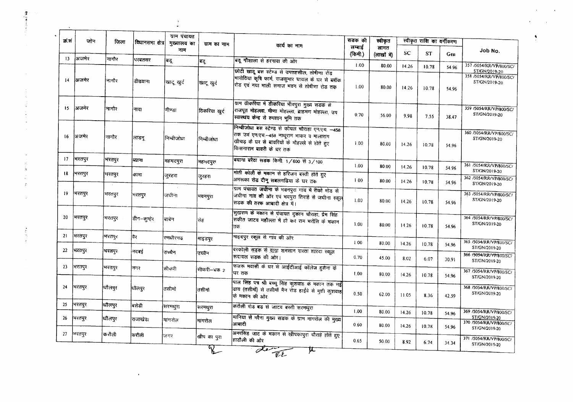| क्र.स | जोन    | जिला   | विधानसमा क्षेत्र | ग्राम पंचायत<br>मुख्यालय का | ग्राम का नाम                 | कार्य का नाम                                                                                                                                                                  | सडक की<br>लम्बार्ड | स्वीकृत             |           | स्वीकृत राशि का वर्गीकरण |                |                                                                     |
|-------|--------|--------|------------------|-----------------------------|------------------------------|-------------------------------------------------------------------------------------------------------------------------------------------------------------------------------|--------------------|---------------------|-----------|--------------------------|----------------|---------------------------------------------------------------------|
| 13    | अजमेर  | नागौर  |                  | नाम                         |                              |                                                                                                                                                                               | (किमी.)            | लागत<br>(लाखों में) | <b>SC</b> | <b>ST</b>                | Gen            | Job No.                                                             |
|       |        |        | परबतसर           | बद्                         | बद्                          | बडू गौशाला से हरनावा की ओर                                                                                                                                                    | 1.00               | 80.00               | 14.26     | 10.78                    | 54.96          | 357 /5054/RR/VP/800/SC/                                             |
| 14    | अजमेर  | नागौर  | डीडवाना          | खाटू खुर्द                  | खादू खुर्द                   | छोटी खाटू बस स्टेण्ड से उपतहसील, तोषीणा रोड<br>भारोठिया कृषि फार्म, राजकुमार चायल के घर से ब्लॉक<br>रोड एवं नया माली समाज भवन से तोषीणा रोड तक                                | 1.00               | 80.00               | 14.26     | 10.78                    | 54.96          | ST/GN/2019-20<br>358 /5054/RR/VP/800/SC/<br>ST/GN/2019-20           |
| 15    | अजनेर  | नागौर  | नावा             | मीण्डा                      | टिकरिया खुर्द                | ग्राम ठीकरिया में डीकरिया भीवपुरा मुख्य सडक से<br>राजपूत मोहल्ला. मीणा मोहल्ला, ब्राहमण मोहल्ला, उप<br>स्वास्थय केन्द्र से श्मशान भूमि तक                                     | 0.70               | 56.00               | 9.98      | 7.55                     | 38.47          | 359 /5054/RR/VP/800/SC/<br>ST/GN/2019-20                            |
| -16   | ।अजमेर | नागौर  | लाडन्            | निम्बीजोधा                  | निम्बीजोधा                   | निम्बीजोधा बस स्टेण्ड से कोयल चौराहा एन.एच. - 458<br>तिक उर्व एन.एच.--458 नाथूराम भाकर व मालाराग<br>खीचड़ के घर से बावरियों के मौहल्ले से होते हुए<br>किसनाराम बावरी के घर तक | 1.00               | 80.00               | 14.26     | 10.78                    | 54.96          | 360 /5054/RR/VP/800/SC/<br>ST/GN/2019-20                            |
| 17    | मरतपुर | भरतपुर | व्याना           | महमदपुरा                    | महभदपुरा                     | बयाना बरैठा सडक किमी. 1/600 से 3/100                                                                                                                                          | 1.00               | 80.00               | 14.26     | 10.78                    | 54.96          | 361 /5054/RR/VP/800/SC/                                             |
| 18    | भरतपुर | गरतपुर | कामा             | जुरहरा                      | जरहरा                        | मोती कोली के मकान से हरिजन बस्ती होते हुए<br>अमरूका रोड दीनू सबलगढिया के घर तक                                                                                                | 1.00               | 80.00               | 14.26     | 10.78                    | 54.96          | ST/GN/2019-20<br>362 /5054/RR/VP/800/SC/<br>ST/GN/2019-20           |
| 19    | मरतपुर | भरतपुर | भरतपुर           | जधीना                       | भवनपुरा                      | ग्राम पंचायत जघीना के भवनपुरा गांव में रीको मोड से<br>जधीना गांव की ओर एवं भवपुरा तिराहे से जधीना स्कूल<br>सडक की तरफ आबादी क्षेत्र में।                                      | ÷.<br>1.00         | 80.00               | 14.26     | 10.78                    | 54.96          | 363 /5054/RR/VP/800/SC/<br>ST/GN/2019-20                            |
| 20    | भरतपुर | भरतपुर | डीग–कुम्हेर      | बाबेन                       | सेह                          | सुखराम के मकान से पंचायत दुकान चौराहा, प्रेम सिंह<br>सकीत जाटव महौल्ला में हो कर राम भरोसि के मकान<br>तक                                                                      | 1.00.              | 80.00               | 14.26     | 10.78                    | 54.96          | 364 /5054/RR/VP/800/SC/<br>ST/GN/2019-20                            |
| 21    | भरतपुर | भरतपुर | कैर              | रणधीरगढ                     | माइडपुर                      | माइदपुर स्कूल से गांव की ओर                                                                                                                                                   | 1.00               | 80.00               | 14.26     | 10.78                    | 54.96          | 365 /5054/RR/VP/800/SC/                                             |
| 22    | भरतपुर | भरतपुर | नदबड             | उच्चैन                      | उच्चेन                       | बरकोली सड़क से वाया शनसान रास्ता शारदा स्कूल<br>रूदावल सडक की ओर।                                                                                                             | 0.70               | 45.00               | 8.02      | 6.07                     | 30.91          | ST/GN/2019-20<br>366 /5054/RR/VP/800/SC/                            |
| 23    | भरतपुर | भरतपुर | निगर             | सीकरी                       | सीकरी--चक २                  | फजरू मवासी के घर से आईटीआई कॉलेज हुसैना के<br>घर तक                                                                                                                           | 1.00               | 80.00               | 14.26     | 10.78                    |                | ST/GN/2019-20<br>367 /5054/RR/VP/800/SC/                            |
| 24    | भरतपुर | धौलपुर | धौलपुर           | तसीमो                       | तसीमो                        | पाल सिंह पत्र श्री बच्चू सिंह कुशवाह के मकान तक नहीं<br>ढाय (तसीमों) से तसीमों मैन रोड हाईवे से मुशी कुशवाह<br>के मकान की ओर                                                  | 0.50               | 62.00               | 11.05     | 8.36                     | 54.96<br>42.59 | ST/GN/2019-20<br>368 /5054/RR/VP/800/SC/<br>ST/GN/2019-20           |
| 25    | भरतपुर | धौलपुर | बिसेडी           | सरमथुरा                     | सरमथुरा                      | करौली रोड बड से जाटव बस्ती सरमथुरा                                                                                                                                            | 1.00               |                     |           |                          |                |                                                                     |
| 26    | भरतपुर | धौलपुर | राजाखेडा         | मागरोल                      | मांगरोल                      | मानिया से गरैना मुख्य सडक के ग्राम मांगरोल की मुख्य                                                                                                                           |                    | 80.00               | 14.26     | 10.78                    | 54.96          | 369 /5054/RR/VP/800/SC/<br>ST/GN/2019-20<br>370 /5054/RR/VP/800/SC/ |
| 27    | भरतपुर | करौली  | करौली            |                             |                              | आवादी<br>अमरसिंह जाट के मकान से खीपकापुरा चौराहे होते हुए                                                                                                                     | 0.60               | 80.00               | 14.26     | 10.78                    | 54.96          | ST/GN/2019-20                                                       |
|       |        |        |                  | जिगर                        | खीप का पुरा<br>$\mathcal{R}$ | हाडौली की ओर<br>$\overline{\text{det}}$<br>ᢘ                                                                                                                                  | 0.65               | 50.00               | 8.92      | 6.74                     | 34.34          | 371 /5054/RR/VP/800/SC/<br>ST/GN/2019-20                            |

 $\frac{9}{4}$ 

 $\ddot{\phantom{a}}$ 

●<br>作品<br>本: 4

 $\frac{\partial}{\partial x}$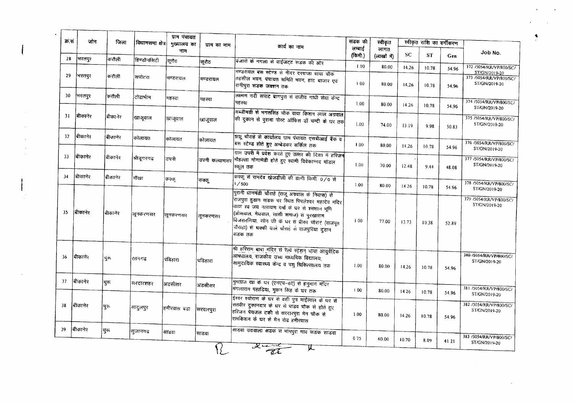| क्र.सं | जोन     | जिला    | विधानसमा क्षेत्र | ग्राम पंचायत<br>मुख्यालय का | ग्राम का नाम  | कार्य का नाम                                                                                                                                                                                                                                                                                                        | सडक की            | स्वीकृत             |       | स्वीकृत राशि का वर्गीकरण |                |                                                           |
|--------|---------|---------|------------------|-----------------------------|---------------|---------------------------------------------------------------------------------------------------------------------------------------------------------------------------------------------------------------------------------------------------------------------------------------------------------------------|-------------------|---------------------|-------|--------------------------|----------------|-----------------------------------------------------------|
| 28     | भिरतपुर | करौली   | ।<br>हिण्डौनसिटी | नाम                         |               |                                                                                                                                                                                                                                                                                                                     | लम्बाई<br>(किमी.) | लागत<br>(लाखों में) | SC    | <b>ST</b>                | Gen            | Job No.                                                   |
|        |         |         |                  | सूरौट                       | स्रौट         | बंजारों के नगला से वाईजट्ट सडक की आर                                                                                                                                                                                                                                                                                | 1.00              | 80.00               | 14.26 | 10.78                    | 54.96          | 372 /5054/RR/VP/800/SC/                                   |
| 29     | भरतपुर  | करौली   | सपोटरा           | मण्डरायल                    | मण्डरायल      | मण्डरायल बस स्टेण्ड से नींदर दरवाजा वाया चौक<br>तिहसील भवन, पंचायत समिति भवन, हाट बाजार एवं<br>रानीपुरा सडक जक्शन तक                                                                                                                                                                                                | 1.00              | 80.00               | 14.26 | 10.78                    | 54.96          | ST/GN/2019-20<br>373 /5054/RR/VP/800/SC/<br>ST/GN/2019-20 |
| 30     | भरतपुर  | करौली   | टोडार्भाम        | महत्त्वा                    | महस्वा        | लक्ष्मण नदी सपाट बागपुरा से राजीव गांधी सेवा केन्द्र<br>महस्वा                                                                                                                                                                                                                                                      | 1.00              | 80.00               | 14.26 | 1078                     |                | 374 /5054/RR/VP/800/SC/                                   |
| 31     | बिकानेर | बीकानेर | खाजूवाल          | खाजुवाल                     | खाजूवाल       | सब्जीमडी से भगतसिंह चौक वाया किशन लाल अग्रवाल<br>की दुकान से पुराना पोस्ट ऑफिस डॉ चन्दी के घर तक                                                                                                                                                                                                                    | 1.00              | 74.00               | 13.19 | 9.98                     | 54.96<br>50.83 | ST/GN/2019-20<br>375 /5054/RR/VP/800/SC/<br>ST/GN/2019-20 |
| 32     | बीकानेर | बीकानेर | कोलायत           | कोलायत                      | कोलायत        | अञ्च चौराहे से कार्यालय ग्राम पंचायत एसबीआई बैंक व<br>बस स्टेण्ड होते हुए अम्बेडकर सर्किल तक                                                                                                                                                                                                                        | 1.00.             | 80.00               | 14.26 | 10.78                    | 54.96          | 376 /5054/RR/VP/800/SC/                                   |
| 33     | बीकानेर | बीकानेर | श्रीड्गरगढ       | उपनी                        | उपनी कल्याणसर | ग्राम उपरी में प्रवेश करते हुए उत्तर की दिशा में हरिजन<br> मौहल्ला गोगामेडी होते हुए स्वामी विवेकान्नद मॉडल<br>स्कूल तक                                                                                                                                                                                             | $1.00 -$          | 70.00               | 12.48 | 9.44                     | 48.08          | ST/GN/2019-20<br>377 /5054/RR/VP/800/SC/<br>ST/GN/2019-20 |
| 34     | बीकानेर | बीकानेर | निखा             | कक्कू                       | कक्क          | कक्कू से रामदेव खेजडीली की ढाणी किमी. 0/0 से<br>1/500                                                                                                                                                                                                                                                               | 1.00              | 80.00               | 14.26 | 10.78                    | 54.96          | 378 /5054/RR/VP/800/SC/<br>ST/GN/2019-20                  |
| 35     | बीकानेर | शिकानेर | लूनकरणसर         | लूनकरणसर                    | लूनकरणसर      | पुरानी धानमंडी चौराहे (राजू अग्रवाल के निवास) से<br>ग्जिपुरा हुडान सडक पर स्थित पिपलेश्वर महादेव मंदिर<br>वायाँ स्व जय नारायण वर्मा के घर से श्मशान भूमि<br>(ओसवाल, मेघवाल, सांसी समाज) से पुरखाराम<br>विजरारणिया, सोन जी के घर से बीका चौराई (राजपूत<br>वौराहा) से घक्की वाले चौराहे से राजपुरिया दुड़ान<br>सडक तक | 1.00              | 77.00               | 13.73 | 10.38                    | 52.89          | 379 /5054/RR/VP/800/SC/<br>ST/GN/2019-20                  |
| 36     | बोकानेर | चुरू    | रतनगढ            | पडिहारा                     | पडिहारा       | श्री हरिराम बाबा मंदिर से रेल्वे स्टेशन वाया आयुर्वेदिक<br>आषधालय, राजकीय उच्च माध्यमिक विद्यालय,<br> सामुद।यिक स्वास्थ्य केन्द्र व पशु चिकित्सालय तक                                                                                                                                                               | 1.00              | 80.00               | 14.26 | 10.78                    | 54.96          | 380-75054/RR/VP/800/SC/<br>ST/GN/2019-20                  |
| 37     | बिकानेर | चुरू    | सरदारशहर         | अडसीसर                      | अडसीसर        | मुमताज खा के घर (एनएच-6ए) से हनुमान मंदिर<br>मिंगलाराम पहाडिया, मुकन सिंह के घर तक                                                                                                                                                                                                                                  | $100 -$           | 80.00               | 1426  | 10.78                    |                | 381 /5054/RR/VP/800/SC/                                   |
| 38     | बीकानेर | चुरु    | सादुलपुर         | हमीरवास बडा                 | सिरदारपुरा    | ईश्वर श्योराण के घर से वशी पुत्र माईलाल के घर से<br> सतवीर दुकानदार के धर से पाउँव चौक से होते हुए<br>हरिजन पेयजल टकी से सरदारपुरा मेन चौक से<br>रामकिशन के घर से मैन रोड हमीरवास                                                                                                                                   | 1.00              | 80.00               | 14.26 | 10.78                    | 54.96<br>54.96 | ST/GN/2019-20<br>382 /5054/RR/VP/800/SC/<br>ST/GN/2019-20 |
| 39     | बिकानेर | च्ररू   | सुजानगढ          | साडवा                       | साडवा         | साडवा उठवाला सडक से भांमपुरा गाव सडक साडवा                                                                                                                                                                                                                                                                          | 075               | 60.00               | 10.70 | 8.09                     | 41.21          | 383 /5054/RR/VP/800/SC/<br>ST/GN/2019-20                  |

 $\sim$  $\sim$ 

 $\sim$ 

 $\label{eq:2.1} \mathcal{L}(\mathcal{A}) = \mathcal{L}(\mathcal{A}) = \mathcal{L}(\mathcal{A}) = \mathcal{L}(\mathcal{A})$ 

杰

 $\mathbf{A}$  and  $\mathbf{A}$  and  $\mathbf{A}$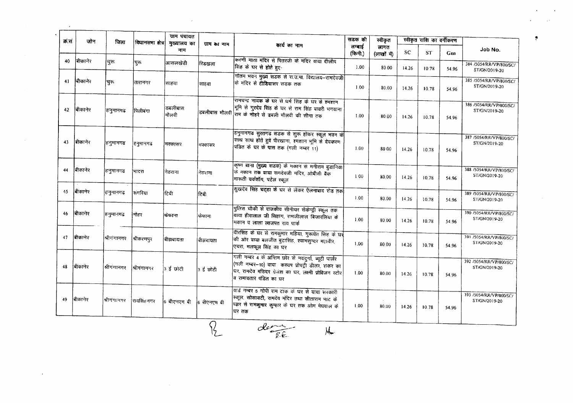| क्र.स | जोन     | जिला        | विधानसमा क्षेत्र | ग्राम पंचायत<br>मुख्यालय का | ग्राम का नाम  |                                                                                                                                                                                                       | सडक की            | स्वीकृत             |       | स्वीकृत राशि का वर्गीकरण |       |                                          |
|-------|---------|-------------|------------------|-----------------------------|---------------|-------------------------------------------------------------------------------------------------------------------------------------------------------------------------------------------------------|-------------------|---------------------|-------|--------------------------|-------|------------------------------------------|
|       |         |             |                  | नाम                         |               | कार्य का नाम                                                                                                                                                                                          | लम्बाई<br>(किमी.) | लागत<br>(लाखों में) | SC    | <b>ST</b>                | Gen   | Job No.                                  |
| 40    | बीकानेर | चुरू        | चुरु             | आसलखेडी                     | रिडखला        | किरणी माता मंदिर से पितरजी के मंदिर वाया दीलीप<br>सिंह के घर से होते हुए                                                                                                                              | 1.00              | 80.00               | 14.26 | 10.78                    | 54.96 | 384 /5054/RR/VP/800/SC/<br>ST/GN/2019-20 |
| 41    | चिकानेर | च्क         | तारानगर          | साहया                       | साहया         | गौतम भवन मुख्य सडक से रा.उ.मा. विद्यालय-रामदेवजी<br>कि मंदिर से <b>टीडियास</b> र सडक तक                                                                                                               | 1.00              | 80.00               | 14.26 | 10.78                    | 54.96 | 385 /5054/RR/VP/800/SC/<br>ST/GN/2019-20 |
| 42    | किानेर  | हनुमानगढ    | पिलीबंगा         | डबलीबास<br>मौलवी            | डबलीबास मौलवी | रामचन्द्र नायक के घर से धर्म सिंह के घर से श्मशान<br>भूमि से गुरदेव सिंह के घर से राम सिंह बावरी भगवाना<br>राम के नोहरे से डबली मौलवी की सीमा तक                                                      | 1.00              | 80.00               | 14.26 | 10.78                    | 54.96 | 386 /5054/RR/VP/800/SC/<br>ST/GN/2019-20 |
| 43    | बिकानेर | हनुमानगढ    | हनुमानगढ         | मिक्कासर                    | भक्कासर       | हिनुमानगढ सुरतगढ सडक से शुरू होकर स्कूल भवन के<br>साथ साथ होते हुवे पीरखाना, श्मशान भूमि से देवकरण<br>पंडित के घर के पास तक (गली नम्बर 11)                                                            | 1.00              | 80 00               | 14.26 | 10.78                    | 54.96 | 387 /5054/RR/VP/800/SC/<br>ST/GN/2019-20 |
| 44    | बीकानेर | हनुमानगढ    | भादरा            | नेठराना                     | नेठराना       | कृष्ण बाना (मुख्य सडक) के मकान से मनीराम बुडानिया<br>क मकान तक बाया रामदेवजी मंदिर, ओबीसी बैंक<br>मारूती वर्कशॉप, पटेल स्कूल                                                                          | 1.00              | 80.00               | 14.26 | 10.78                    | 54.96 | 388 /5054/RR/VP/800/SC/<br>ST/GN/2019-20 |
| 45    | बीकानेर | हिनुमानगढ   | संगरिया          | टिगी                        | टिबी          | सुखदेव सिंह चट्ठा के घर से लेकर ऐलनाबाद रोड तक                                                                                                                                                        | 1.00              | 80.00               | 14.26 | 10.78                    | 54.96 | 389 /5054/RR/VP/800/SC/<br>ST/GN/2019-20 |
| 46    | बीकानेर | हनुमानगढ    | नोहर             | फेफाना                      | किंफाना       | पुलिस चौकी से राजकीय सीनीयर सेकेन्ड्री स्कूल तक<br>.<br>वाया हीरालाल जी सिहाग, रामजीलाल बिजारलिया के<br>मकान व लाला लाजपत राय पार्क                                                                   | 1.00              | 80.00               | 14.26 | 10.78                    | 54.96 | 390 /5054/RR/VP/800/SC/<br>ST/GN/2019-20 |
| 47    | बीकानेर | श्रीगंगानगर | श्रीकरणपुर       | बीझबायता                    | बीझबायता      | वीरसिंह के घर से रामकुमार महिया, गुरूचेत सिंह के घर्ने<br>की ओर वाया बलजीत बुटासिंह, श्यामसुन्दर महावीर,<br>एचरा, मलफूल सिंह का घर                                                                    | 1.00              | 80.00               | 14.26 | 10.78                    | 54.96 | 391 /5054/RR/VP/800/SC/<br>ST/GN/2019-20 |
| 48    | बिकानेर | श्रीगंगानगर | शिगंगानगर        | 3 ई छोटी                    | 3 ई छोटी      | गली नम्बर 4 के अन्तिम छोर से नवदुर्गा, ब्यूटी पार्लर<br> (गली नम्बर–10) वाया) कस्यप प्रोपट्री डीलर, शंकर का<br>.<br>घर, रामदेव मंडिदर ग्रेजंश का घर, लक्ष्मी प्रोविजन स्टोर<br>a रामावतार पंडित का घर | 1.00              | 80.00               | 14.26 | 10.78                    | 54.96 | 392 /5054/RR/VP/800/SC/<br>ST/GN/2019-20 |
| 49    | बिकानेर | श्रीगंगानगर | शियसिंहनगर       | 6 बीएनएम बी                 | 6 शीएनएम बी   | वार्ड नम्बर 5 गोपी राम टाक के घर से वाया सरकारी<br>स्कूल, सोसायटी, रामदेव मंदिर तथा सीताराम भाट के<br> घ्जर से रामकुमार कुम्हार के घर तक ओम मेघवाल के<br> घर तक                                       | 1.00              | 80.00               | 14.26 | 10.78                    | 54.96 | 393 /5054/RR/VP/800/SC/<br>ST/GN/2019-20 |

 $\sim 100$ 

 $\frac{1}{2}$ 

 $\sim 200$ 

 $\bullet$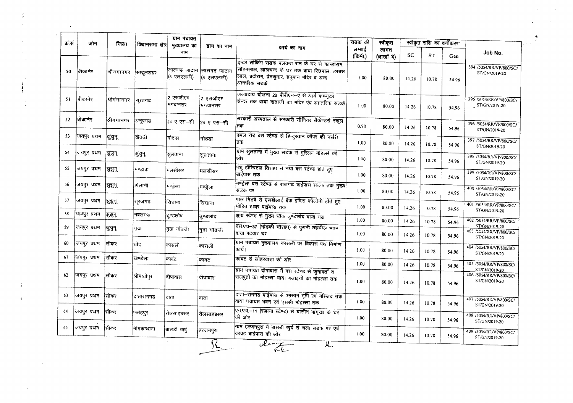| क्र सं | जोन          | जिला        | विधानसभा क्षेत्र | ग्राम पंचायत<br>मुख्यालय का | ग्राम का नाम              |                                                                                                                                                                    | सडक की            | स्वीकृत             |       | स्वीकृत राशि का वर्गीकरण |       |                                                           |
|--------|--------------|-------------|------------------|-----------------------------|---------------------------|--------------------------------------------------------------------------------------------------------------------------------------------------------------------|-------------------|---------------------|-------|--------------------------|-------|-----------------------------------------------------------|
|        |              |             |                  | नाम                         |                           | कार्य का नाम                                                                                                                                                       | लम्बाई<br>(किमी.) | लागत<br>(लाखों में) | SC    | <b>ST</b>                | Gen   | Job No.                                                   |
| 50     | बीकानेर      | श्रीगगानगर  | सादूलशहर         | लालगढ जाटान<br>(৪ एलएलजी)   | लालगढ जाटान<br>(8 एलएलजी) | इन्टर लोकिंग सडक बलवन्त राम के घर से कान्हाराम,<br>सोहनलाल, लालचन्द के घर तक वाया रिछपाल, हरबंस<br>लाल, ब्रदीराम, प्रेमकुमार, हनुमान मंदिर व अन्य<br>आन्तरिक सडकें | 1.00              | 80.00               | 14.26 | 10.78                    | 54.96 | 394 /5054/RR/VP/800/SC/<br>ST/GN/2019-20                  |
| 51     | बिकानेर      | श्रीगंगानगर | सूरतगढ           | 2 एसजीएम<br>भगवानसर         | 2 एसजीएम<br>भिगवानसर      | जलप्रदाय योजना 28 पीबीएन-ए से आर्य कम्प्यूटर<br>सिन्टर तक वाया माताजी का मंदिर एवं आन्तरिक संडकें                                                                  | 1.00              | 80.00               | 14.26 | 10.78                    | 54.96 | 395 /5054/RR/VP/800/SC/<br>ST/GN/2019-20                  |
| 52     | चीकानेर      | श्रीगगानगर  | अनूपगढ           | 24 ए एस-सी                  | 24 ए एस-सी                | सरकारी अस्पताल से सरकारी सीनियर सैकेण्डरी स्कूल<br>तक                                                                                                              | 0.70              | 80.00               | 14.26 | 10.78                    | 54.96 | 396 /5054/RR/VP/800/SC/<br>ST/GN/2019-20                  |
| 53     | जयपुर प्रथम  | झुझुन्      | खेतडी            | गोठडा                       | गोठडा                     | -<br>उबल रोड बस स्टेण्ड से हिन्दुस्तान कॉपर की नर्सरी<br>तक                                                                                                        | 1.00              | 80.00               | 14.26 | 10.78                    | 54.96 | 397 /5054/RR/VP/800/SC/<br>ST/GN/2019-20                  |
| 54     | जियपुर प्रथम | मुझुन्      | शुझुन्           | सुलताना                     | सुलताना                   | ग्राम सुलताना में मुख्य सडक से मुस्लिम मौहल्ले की<br>ओर                                                                                                            | 1.00              | 80.00               | 14.26 | 10.78                    | 54.96 | 398 /5054/RR/VP/800/SC/<br>ST/GN/2019-20                  |
| 55     | जयपुर प्रथम  | ञ्चञ्चन्    | मण्डाता          | मलसीसर                      | मलसीसर                    | पशु हॉस्पिटल तिराहा से नया बस स्टेण्ड होते हुए<br>बाईपास तक                                                                                                        | 1.00              | 80.00               | 14.26 | 10.78                    | 54.96 | 399 /5054/RR/VP/800/SC/<br>ST/GN/2019-20                  |
| 56     | जयपुर प्रथम  | झुझुनू :    | पिलानी           | मण्डेला                     | मण्ड्रेला                 | मण्ड्रेला बस स्टेण्ड से राजगढ बाईपास सलक तक मुख्य<br>सडक पर                                                                                                        | 1.00              | 80.00               | 14.26 | 10.78                    | 54.96 | 400 /5054/RR/VP/800/SC/<br>ST/GN/2019-20                  |
| 57     | जियपुर प्रथम | શુક્ષન      | सूरजगढ           | सिपाना                      | रिग्यांना                 | पाल मिडवे से एसबीआई बैंक इंदिरा कॉलोनी होते हुए<br>मोहित टायर बाईपास तक                                                                                            | 1.00              | 80.00               | 14.26 | 10.78                    | 54.96 | 401 /5054/RR/VP/800/SC/<br>ST/GN/2019-20                  |
| 58     | जयपुर प्रथम  | सुझुन्      | नवलगढ            | दुण्डलोट                    | उण्डलाद                   | झुपा स्टेण्ड से मुख्य चौक दुण्डलोद वाया गढ                                                                                                                         | 1.00              | 80.00               | 14 26 | 1078                     | 54.96 | 402 /5054/RR/VP/800/SC/                                   |
| -59    | जयपुर प्रथम  | श्रिश्चनू   | पूढ़।            | गुढा गोडजी                  | गुढा गोडजा                | एस.एच-37 (भोड़की चौराहा) से पुरानी तहसील भवन<br> वाया पटवार घर                                                                                                     | 1.00              | 80.00               | 14.26 | 10.78                    | 54.96 | ST/GN/2019-20<br>403 /5054/RR/VP/800/SC/<br>ST/GN/2019-20 |
| 60     | जयपूर प्रथम  | सीकर        | धोद              | कासली                       | कासली                     | ग्राम पंचायत मुख्यालय कासली पर विकास पथ निर्माण<br>कार्य ।                                                                                                         | $1.00 -$          | 80.00               | 14.26 | 10.78                    | 54.96 | 404 /5054/RR/VP/800/SC/<br>ST/GN/2019-20                  |
| 61     | जयपुर प्रथम  | सिकर        | खण्डेला          | कावंट                       | कावट                      | कावट से लोहरवाड़ा की ओर                                                                                                                                            | 1.00              | 80.00               | 14.26 | 10.78                    | 54.96 | 405 /5054/RR/VP/800/SC/                                   |
| 62     | जयपुर प्रथम  | सिकर        | श्रीमाधोपुर      | दीपावास                     | दीपावास                   | ग्राम पंचायत दीपावास में बस स्टेण्ड से कुमावतों व<br>राजपुतों का मोहल्ला वाया बलाइयों का मोहल्ला तक                                                                | 1.00              | 80.00               | 14.26 | 10.78                    | 54.96 | ST/GN/2019-20<br>406 /5054/RR/VP/800/SC/<br>ST/GN/2019-20 |
| 63     | जयपुर प्रथम  | सिकर        | दातारामगढ        | दाता                        | दाता                      | दाता-रामगढ बाईपास से श्मसान भूमि एवं मरिजद तक<br>वाया पंचायत भवन एवं एससी मोहल्ला तक                                                                               | 100               | 80.00               | 14.26 | 10.78                    | 54.96 | 407 /S054/RR/VP/800/SC/<br>ST/GN/2019-20                  |
| 64     | जयपुर प्रथम  | सीकर        | फतेहपुर          | रोलसाहबसर                   | रोलसाहबसर                 | एन.एच.-11 (रजाना स्टेण्ड) से यासीन मांगूखा के घर<br>की ओर                                                                                                          | 1.00              | 80.00               | 14.26 | 10.78                    | 54.96 | 408 /5054/RR/VP/800/SC/<br>ST/GN/2019-20                  |
| 65     | जयपुर प्रथम  | सीकर        | नीगकाथाना        | बासडी खर्द                  | हरजनपुरा                  | गाम हरजनपुरा में बासडी खुर्द से चला सड़क पर एवं<br>कावट बाईपास की ओर                                                                                               | 1.00              | 80.00               | 14.26 | 10.78                    | 54.96 | 409 /5054/RR/VP/800/SC/<br>ST/GN/2019-20                  |

 $\sim$ 

 $\mathbf{r}$ 

 $\frac{1}{\epsilon}$ 

 $\sim 10^{-11}$ 

 $\langle \hat{A} \rangle$  $\mathcal{A}^{\pm}$ 

 $\sim 10^{11}$ 

 $\sim 10^{11}$  km s  $^{-1}$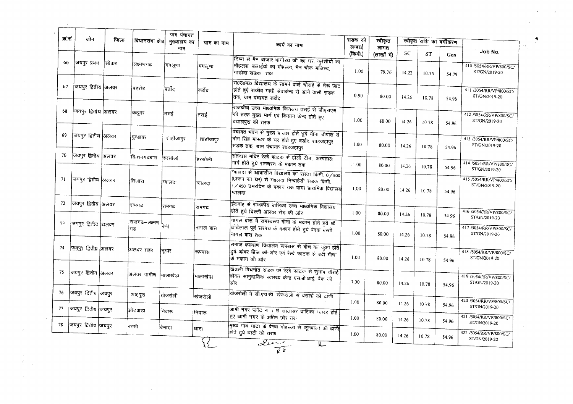| क्र.सं | जोन                   | जिला | विधानसमा क्षेत्र              | ग्राम पंचायत<br>मुख्यालय का | ग्राम का नाम | कार्य का नाम                                                                                                                                                   | सडक की            | स्वीकृत             |           | स्वीकृत राशि का वर्गीकरण |                |                                                           |
|--------|-----------------------|------|-------------------------------|-----------------------------|--------------|----------------------------------------------------------------------------------------------------------------------------------------------------------------|-------------------|---------------------|-----------|--------------------------|----------------|-----------------------------------------------------------|
|        |                       |      |                               | नाम                         |              |                                                                                                                                                                | लम्बाई<br>(किमी.) | लागत<br>(लाखों में) | <b>SC</b> | <b>ST</b>                | Gen            | Job No.                                                   |
| 66     | जयपुर प्रथम           | सिकर | तक्ष्मणगढ                     | मंगलूणा                     | मंगलूणा      | टिब्बा से मैन बाजार भागीरथ जी का घर, कुरेशीयो का<br>मौहल्ला, बलाईयो का मौहल्ला, मैन चौक मजिस्द,<br>गाडोदा सडक तक                                               | 1.00              | 79.76               | 14.22     | 10.75                    | 54.79          | 410 /5054/RR/VP/800/SC/<br>ST/GN/2019-20                  |
| 67     | जियपुर द्वितीय अलवर   |      | बहरोड                         | बिर्डोट                     | वर्डोद       | रा0उ0मा0 विद्यालय के सामने वाले चौराहे से भैरू जाट<br>होते हुऐ राजीव गांधी सेवाकेन्द्र से आने वाली सडक<br>तक, ग्राम पंचायत बर्डोद                              | 0.90              | 80.00               | 14.26     | 10.78                    | 54.96          | 411 /5054/RR/VP/800/SC/<br>ST/GN/2019-20                  |
| 68     | जयपुर द्वितीय अलवर    |      | कदूमर                         | तसई                         | तसई          | राजकीय उच्च माध्यमिक विधालय तसई से जीएसएस<br>की तरफ मुख्य मार्ग एवं किसान केन्द्र होते हुए<br>दयालपुरा की तरफ                                                  | 1.00              | 80.00               | 14.26     | 10.78                    | 54.96          | 412 /5054/RR/VP/800/SC/<br>ST/GN/2019-20                  |
| 69     | जियपुर द्वितीय अलवर   |      | मूण्डावर                      | शाहीजापुर                   | शाहाजापुर    | पंचायत भवन से मुख्य बाजार होते हुये मीना चौपाल से  <br>भोम सिंह मास्टर के घर होते हुए बर्डोद शाहजहापुर<br>सिडक तक, ग्राम पंचायत शाहजहापुर                      | 1.00.             | 80.00               | 14.26     | 10.78                    | 54.96          | 413 /5054/RR/VP/800/SC/<br>ST/GN/2019-20                  |
| 70     | जियपुर द्वितीय अिलवर  |      | किशनगढबास                     | हिरसौली                     | हरसौली       | संतदास मंदिर रेल्वे फाटक से होली टीबा, अस्पताल<br>मार्ग होते हुये रामचरण के मकान तक                                                                            | $-1.00$           | 80.00               | 14.26     |                          |                | 414 /5054/RR/VP/800/SC/                                   |
| 71     | जयपुर द्वितीय  अलवर   |      | तिजारा                        | ग्वालदा                     | ग्वालदा      | ग्वालदा से आवासीय विद्यालय का रास्ता किमी. 0/800<br>(हारून का घर) से ग्वालदा निम्बाहेडी सडक किमी.<br>1/450 उमरदिन के मकान तक वाया प्राथमिक विद्यालय<br>ग्वालदा | 1.00              | 80.00               | 14.26     | 10.78<br>10.78           | 54.96<br>54.96 | ST/GN/2019-20<br>415/5054/RR/VP/800/SC/<br>ST/GN/2019-20  |
| 72     | जयपुर द्वितीय अिलवर   |      | रामगढ                         | रामगढ                       | रामगढ        | ईदगाह से राजकीय बालिका उच्च माध्यमिक विद्यालय<br>होते हुये दिल्ली अलवर रोड की ओर                                                                               | 1.00              | 80.00               | 14.26     | 10.78                    | 54.96          | 416 /5054/RR/VP/800/SC/                                   |
| 73     | जियपुर द्वितीय अिलवर  |      | राजगढ–लक्ष्मण <br> रेणी<br>गढ |                             | नागल बास     | नागल बास में रामस्वरूप मीना के मकान होते हुये श्री<br>छोटेलाल पूर्व सरपंच के मकान होते हुये बेरवा बस्ती<br>नांगल बास तक                                        | 1.00              | 80.00               | 14.26     | 10.78                    | 54.96          | ST/GN/2019-20<br>417 /5054/RR/VP/800/SC/<br>ST/GN/2019-20 |
| 74     | ज़ियपुर द्वितीय अिलवर |      | अलक्य शहर                     | भूगोर                       | रूपबास       | समाज कल्याण विद्यालय रूपबास से बीच का कुआ होते<br>डुये ओवर ब्रिज की ओर एवं रेल्वे फाटक से बद्दी मीणा<br>कि मकान की ओर                                          | 1.00              | 80.00               | 14.26     | 10.78                    | 54.96          | 418 /5054/RR/VP/800/SC/<br>ST/GN/2019-20                  |
| 75     | जयपुर द्वितीय अिलवर   |      | अलवर ग्रामीण                  | मालाखेडा                    | नालाखेडा     | खेडली पिचनात सडक पर रत्वे फाटक से सुमाष चौराहे<br>होकर सामुदायिक स्वास्थ्य केन्द्र एस.बी.आई. बैंक की<br>ओर                                                     | 1.00              | 80.00               | 14.26     | 10.78                    | 54.96          | 419 /5054/RR/VP/800/SC/<br>ST/GN/2019-20                  |
| 76     | जियपुर द्वितीय जियपुर |      | शाहपुरा                       | खिजरोली                     | खेजरोली      | खेजरोली में सी.एच.सी. खेजरोली से बरालों की ढाणी                                                                                                                |                   |                     |           |                          |                |                                                           |
| 77     | जयपुर द्वितीय जियपुर  |      | झोटवाडा                       | निवारू                      | निवारू       | आर्मी नगर प्लॉट न 1 से सालासर वाटिका ग्यारह होते                                                                                                               | 1.00 <sub>1</sub> | 80.00               | 14.26     | 10.78                    | 54.96          | 420 /5054/RR/VP/800/SC/<br>ST/GN/2019-20                  |
| 78     | जियपुर द्वितीय जियपुर |      | बरसी                          | वैनाडा                      |              | हुए आर्मी नगर के अंतिम छोर तक<br>मुख्य गांव घाटा के बैरवा मौहल्ला से जूनवालों की ढाणी                                                                          | 1.00              | 80.00               | 14.26     | 10.78                    | 54.96          | 421 /5054/RR/VP/800/SC/<br>ST/GN/2019-20                  |
|        |                       |      |                               |                             | घाटा         | होते हुये घाटी की तरफ<br>$\frac{1}{\sqrt{1-\frac{1}{k^{2}}}}$                                                                                                  | 1.00              | 80.00               | 14.26     | 10.78                    | 54.96          | 422 /5054/RR/VP/800/SC/<br>ST/GN/2019-20                  |

 $\sim 10^6$ 

 $\sim 10^7$ 

 $\frac{1}{4}$  ,  $\frac{1}{2}$ 

 $\mathcal{L}^{\text{max}}_{\text{max}}$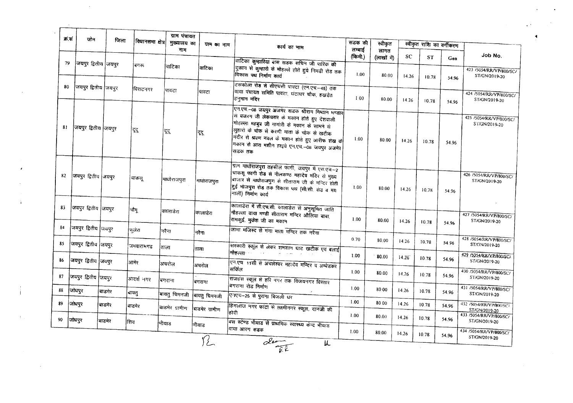| क्र सं | जोन                   | जिला   | विधानसभा क्षेत्र | मुख्यालय का    | ग्राम का नाम   | कार्य का नाम                                                                                                                                                                                                                                                                                                         | सडक की            | स्वीकृत             |       | स्वीकृत राशि का वर्गीकरण |                |                                                           |
|--------|-----------------------|--------|------------------|----------------|----------------|----------------------------------------------------------------------------------------------------------------------------------------------------------------------------------------------------------------------------------------------------------------------------------------------------------------------|-------------------|---------------------|-------|--------------------------|----------------|-----------------------------------------------------------|
|        |                       |        |                  | नाम            |                |                                                                                                                                                                                                                                                                                                                      | लम्बाई<br>(किमी.) | लागत<br>(लाखों में) | SC    | <b>ST</b>                | Gen            | Job No.                                                   |
| 79     | जयपुर द्वितीय जियपुर  |        | ।गगरू            | वाटिका         | वाटिका         | वाटिका कुम्हारिया यास सडक सचिन जी पारिक की<br>.<br>दुकान से कुम्हारो के मौहल्ले होते हुये निमडी रोड तक<br>विकास पथ निर्माण कार्य                                                                                                                                                                                     | 1.00              | 80.00               | 14.26 | 10.78                    | 54.96          | 423 /5054/RR/VP/800/SC/<br>ST/GN/2019-20                  |
| 80     | जियपुर द्वितीय जियपुर |        | विराटनगर         | पावटा          | पावटा          | टसकोला रोड से सीएचसी पावटा (एन.एच.-48) तक<br>वाया पंचायत समिति पावटा, घटाघर चौक, हखडेत<br>हिनुमान मंदिर                                                                                                                                                                                                              | 1.00              | 80.00               | 14.26 | 10.78                    | 54.96          | 424 /5054/RR/VP/800/SC/<br>ST/GN/2019-20                  |
| 81     | जियपुर द्वितीय जियपुर |        | दूद              | दूदू           | !दूइ           | <br> एन.एच.-08 जयपुर अजमेर सडक श्रीराम मिष्ठान भण्डार <br>मि बजरग जी लेकचरार के मकान होते हुए देशवाली<br> मोहल्ला महबुब जी नागोरी के मकान के सामने रो<br>लुहारा के चोक से करणी माता के चोक से खटीक<br>्<br>मंदीर से श्रवण नवल के मकान होते हुए आरीफ शंख के<br>मकान से आरा मशीन हाइवे एन.एच.-08 जयपुर अजमेर<br>सडक तक | 1.00              | 80.00               | 14.26 | 10.78                    | 54.96          | 425 /5054/RR/VP/800/SC/<br>ST/GN/2019-20                  |
| 82     | जियपुर द्वितीय जियपुर |        | चाकसू            | माधोराजपुरा    | भाधाराजपुरा    | ग्राम माधोराजपुरा तहसील फागी, जयपुर में एस.एच.-2<br>चाकसू फागी रोड से नीलकण्ठ महादेव मंदिर रो मुख्य<br>बाजार से माघोराजपुरा से सीताराम जी के मन्दिर होती<br> हुई भांजपुरा रोड तक विकास पथ (सी.सी. राड व मय<br>नाली) निर्माण कार्य                                                                                    | 1.00              | 80.00               | 14.26 | 10.78                    | 54.96          | 426 /5054/RR/VP/800/SC/<br>ST/GN/2019-20                  |
| 83     | जयपुर द्वितीय जियपुर  |        | ।चौमू            | कालाडेरा       | कालाडेरा       | कालाडेरा में सी.एच.सी. कालाडेरा से अनुसूचित जाति<br> मौहल्ला वाया मण्डी सीताराम मन्दिर औलिया बाबा,<br>रामकुई, मुकेश जी का मकान                                                                                                                                                                                       | 1.00              | 80.00               | 14.26 | 10.78                    | 54.96          | 427 /5054/RR/VP/800/SC/<br>ST/GN/2019-20                  |
| 84     | जयपुर द्वितीय जियपुर  |        | फ़्लेरा          | नरैना          | नरैना          | जामा मजिस्ट से गंगा माता मन्दिर तक नरैना                                                                                                                                                                                                                                                                             |                   |                     |       |                          |                |                                                           |
| 85     | जियपुर द्वितीय जियपुर |        | !जभवारामगढ       | ताला           | ताला           | सरकारी स्कूल से लेकर शमशान घाट खटीक एवं बलाई                                                                                                                                                                                                                                                                         | 0.70              | 80.00               | 14.26 | 10.78                    | 54.96          | 428 /5054/RR/VP/800/SC/<br>ST/GN/2019-20                  |
| 86     | जयपुर द्वितीय जिथपुर  |        | आमेर             | अचरोल          | अचरोल          | <del>गौह</del> ल्ला -<br>एन.एच 11सी से अचलेश्वर महादेव मन्दिर व अम्बेडकर                                                                                                                                                                                                                                             | 1.00              | 80.00               | 14.26 | 10.78                    | 54.96          | 429 /5054/RR/VP/800/SC/<br>ST/GN/2019-20                  |
| 87     | जियपुर द्वितीय जियपुर |        | आदर्श भगर        |                |                | सकित                                                                                                                                                                                                                                                                                                                 | 1.00              | 80.00               | 14.26 | 10.78                    | 54.96          | 430 /5054/RR/VP/800/SC/<br>ST/GN/2019-20                  |
| 88     | जोधपुर                | बाडगेर | बायतु            | बिगराना        | बगराना         | राजहंस स्कूल से हरि नगर तक विजयनगर विस्तार<br>बगराना रोड निर्माण                                                                                                                                                                                                                                                     | 1.00              | 80.00               | 14.26 | 10.78                    | 54.96          | 431 /5054/RR/VP/800/SC/                                   |
| 89     | जोधपुर                | बाडमेर | बाडमेर           | बायतु चिमनजी   | बायतु चिमनजी   | एनएच-25 से पुराना बिजली धर                                                                                                                                                                                                                                                                                           | 1.00              | 8000                | 14.26 | 10.78                    | 54.96          | ST/GN/2019-20<br>432 /5054/RR/VP/800/SC/                  |
|        |                       |        |                  | बाडमेर ग्रामीण | बाडमेर ग्रामीण | हिंगलाज नगर फांटा से लक्ष्मीनगर स्कूल, दानजी की<br>।होदी                                                                                                                                                                                                                                                             | 1.00              | 80.00               | 14.26 | 10.78                    |                | ST/GN/2019-20<br>433 /5054/RR/VP/800/SC/                  |
| 90     | जोधपुर                | बाडमेर | शिव              | 'भीयाउ         | भीयाड<br>12    | बस स्टेण्ड भीयाड से प्राथमिक स्वारस्य केन्द्र भीयाड<br> वाया आरंग <b>सड</b> क                                                                                                                                                                                                                                        | 1.00              | 80.00               | 14.26 | 10.78                    | 54.96<br>54.96 | ST/GN/2019-20<br>434 /5054/RR/VP/800/SC/<br>ST/GN/2019-20 |

 $\Gamma$ 

 $\sim$ 

 $\ddot{i}$ 

 $\frac{1}{2}$ 

 $\frac{1}{2}$ 

 $\sqrt{2}$ 

 $\ddot{\phantom{1}}$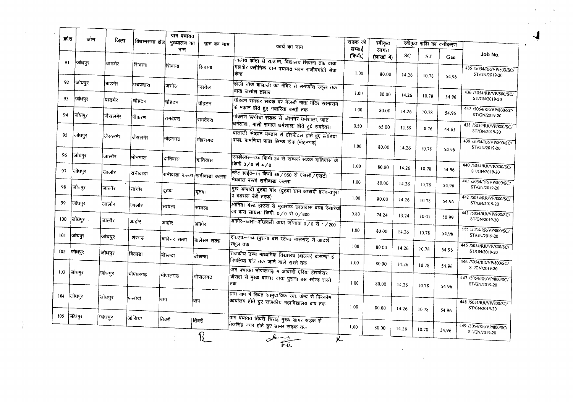| क्र सं | जोन        | जिला    | विधानसमा क्षेत्र | मुख्यालय का                   | ग्राम का नाम | कार्य का नाम                                                                                                       | सडक की            | स्वीकृत             |       |           | स्वीकृत राशि का वर्गीकरण |                                          |
|--------|------------|---------|------------------|-------------------------------|--------------|--------------------------------------------------------------------------------------------------------------------|-------------------|---------------------|-------|-----------|--------------------------|------------------------------------------|
|        |            |         |                  | नाम                           |              |                                                                                                                    | लम्बाई<br>(किमी.) | लागत<br>(लाखों में) | SC    | <b>ST</b> | Gen                      | Job No.                                  |
| 91     | जोधपुर     | बाडमेर  | रिावान।          | सिवाना                        | सिवाना       | गोलीय फाटा से रा.उ.मा. विद्यालय सिवाना तक वाया<br> महावीर <b>क्लीनिक</b> ग्राम पंचायत भवन राजीवगांधी सेवा<br>केन्ट | 1.00              | 80.00               | 14.26 | 10.78     | 54.96                    | 435/5054/RRVP/800/SC/<br>ST/GN/2019-20   |
| 92     | जोधपुर     | बाडमेर  | पचपदारा          | जसोल                          | जसोल         | होली चौक बालाजी का मंदिर से सेन्टपॉल स्कूल तक<br>वाया जसोल तलाब                                                    | 1.00              | 80.00               |       |           |                          | 436 /5054/RR/VP/800/SC/                  |
| 93     | जोधपुर     | बाडमेर  | चौहटन            | चौहटन                         | चौहटन        | चीहटन रामसर सडक पर मेलडी माता गंदिर रतनाराम<br>के मकान होते हुए गवारिया बस्ती तक                                   | 1.00              |                     | 14.26 | 10.78     | 54.96                    | ST/GN/2019-20<br>437 /5054/RR/VP/800/SC/ |
| 94     | जोधपुर     | जैसलमेर | पिोकरण           | रामदेवरा                      | रामदेवरा     | पोकरण रूणीचा सडक से जीनगर धर्मशाला, जाट<br>धर्मशाला, माली समाज धर्मशाला होते हुये रामदेवरा                         |                   | 80.00               | 14.26 | 10.78     | 54.96                    | ST/GN/2019-20                            |
| 95     | जोधपुर     | जैसलमेर | जैसलमेर          | मोहनगढ                        | मोहनगढ       | बालाजी मिष्ठान भण्डार से होस्पीटल होते हुए लोहिया                                                                  | 0.50              | 65.00               | 11.59 | 8.76      | 44.65                    | 438 /S054/RRVVP/800/SC/<br>ST/GN/2019-20 |
|        |            |         |                  |                               |              | (पाडा, बामणिया पाडा लिन्क रोड (मोहनगढ)                                                                             | 1.00              | 80.00               | 14.26 | 10.78     | 54.96                    | 439 /5054/RR/VP/800/SC/<br>ST/GN/2019-20 |
| 96     | जोधपुर     | जालौर   | भीनमाल           | दातिवास                       | दातिवास      | एमडीआर—174 किमी 24 से सम्पर्क सडक दांतिवास के<br>किमी 3/0 से 4/0                                                   | 1.00              | 80.00               | 14.26 | 10.78     | 54.96                    | 440 /5054/RR/VP/800/SC/                  |
| 97     | जोधपुर     | जालौर   | रानीवाडा         | रानीवाडा कल्ला रानीवाडा कल्ला |              | स्टेट हाईवे-11 किमी 45/950 से एससी/एसटी<br>.<br>मेघवाल <b>बस्ती रानीवाडा</b> कल्ला                                 | 1.00              | 80.00               | 14.26 | 10.78     |                          | ST/GN/2019-20<br>441 /5054/RR/VP/800/SC/ |
| 98     | जोधपुर     | जालौर   | सांचोर           | दूठवा                         | दूठवा        | मुख आबादी दुरुवा गांव (दुठवा ग्राम आबादी हनवन्तपुरा<br>व बडसल बेरी तरफ)                                            | 1.00              | 80.00               | 14.26 |           | 54.96                    | ST/GN/2019-20<br>442 /5054/RR/VP/800/SC/ |
| 99     | जोधपर      | जालौर   | जालौर            | सायला                         | सायला        | आनिडा गेस्ट हाउस से मुखराज छात्रावास वाया रेबारियों<br>का वास सायला किमी. ०/० से ०/800                             | 0.80              | 74.24               |       | 10.78     | 54.96                    | ST/GN/2019-20<br>443 /5054/RR/VP/800/SC/ |
| 100    | जोधपुर     | जालौर   | आहोर             | आहोर                          | आहोर         | आहोर-खारा-शंखवली वाया जांगावा 0/0 से 1/200                                                                         |                   |                     | 13.24 | 10.01     | 50.99                    | ST/GN/2019-20<br>144 /5054/RR/VP/800/SC/ |
| 101    | जोघपुर     | जोधपुर  | शेरगढ            | बालेसर सत्ता                  | बालेसर सत्ता | एन.एच.-114 (पुराना बस स्टेण्ड बालेसर) से आदर्श<br>स्कूल तक                                                         | 1.00              | 80.00               | 14.26 | 10.78     | 54.96                    | ST/GN/2019-20                            |
| [02]   | जोधपुर     | जोधपुर  | बिलाडा           | बोरून्दा                      | बोरून्दा     | राजकीय उच्च माध्यमिक विद्यालय (बालक) बोरून्दा से                                                                   | 1.00              | 80.00               | 14.26 | 10.78     | 54.96                    | 445 /5054/RR/VP/800/SC/<br>ST/GN/2019-20 |
| 103    | जाघपुर     | जोधपुर  | भोपालगढ          |                               |              | पिपलिया बांध तक जाने वाले रास्ते तक<br>याम पंचायत भोपालगढ़ में आबादी एरिया हीरादेसर                                | 1.00              | 80.00               | 14.26 | 10.78     | 54.96                    | 446 /5054/RR/VP/800/SC/<br>ST/GN/2019-20 |
|        |            |         |                  | भोपालगढ                       | भोपालगढ      | चौराहा से मुख्य बाजार वाया पुराना बस स्टेण्ड रास्ते<br>तक                                                          | 100               | 80.00               | 14.26 | 10.78     | 54.96                    | 447 /5054/RR/VP/800/SC/<br>ST/GN/2019-20 |
| 104    | जोधपुर     | जोधपुर  | फलोटी            | बाप                           | बाप          | ग्राम बाप में स्थित सामुदायिक ख्वा. केन्द्र से डिस्कॉम<br>कार्यालय होते हुए राजकीय महाविद्यालय बाप तक              |                   |                     |       |           |                          | 448 /5054/RR/VP/800/SC/                  |
|        | 105 जिधपुर | जोधपुर  | अोसिया           | तिंवरी                        |              | ग्राम पंचायत तिवरी चिराई मुख्य डामर सड़क से                                                                        | 1.00              | 80.00               | 14.26 | 10.78     | 54.96                    | ST/GN/2019-20                            |
|        |            |         |                  |                               | तिंवरी       | तिजसिंह नगर होते हुए डामर सड़क तक                                                                                  | 1.00              | 80.00               | 14.26 | 10.78     | 54.96                    | 449 /5054/RKVVP/800/SC/<br>ST/GN/2019-20 |
|        |            |         |                  |                               |              | ohany<br>$\mu$                                                                                                     |                   |                     |       |           |                          |                                          |
|        |            |         |                  |                               |              |                                                                                                                    |                   |                     |       |           |                          |                                          |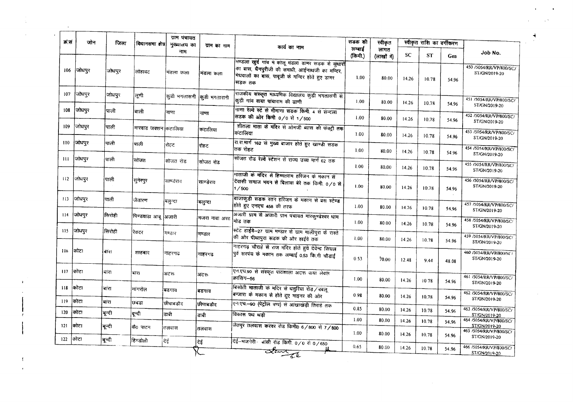| क्र.सं | जोन     | जिला   | विधानसमा क्षेत्र     | ग्राम पंचायत<br>मुख्यालय का | ग्राम का नाम  |                                                                                                                                                                       | सडक की            | स्वीकृत             |           | स्वीकृत राशि का वर्गीकरण |       |                                                                     |
|--------|---------|--------|----------------------|-----------------------------|---------------|-----------------------------------------------------------------------------------------------------------------------------------------------------------------------|-------------------|---------------------|-----------|--------------------------|-------|---------------------------------------------------------------------|
|        |         |        |                      | नाम                         |               | कार्य का नाम                                                                                                                                                          | लम्बाई<br>(किमी.) | लागत<br>(लाखों में) | <b>SC</b> | <b>ST</b>                | Gen   | Job No.                                                             |
| 106    | जोधपुर  | जोधपुर | लोहावट               | मंडला कला                   | मंडला कला     | भण्डला खुर्द गांव में कोलू मंडला डामर सड़क से सुधारों<br>का बास, चैनपुरीजी की समाधी, आईनाथजी का मन्दिर,<br>मिघवालों का बास, पावूजी के मन्दिर होते हुए डामर<br>।सडक तक | 1.00              | 80.00               | 14.26     | 10.78                    | 54.96 | 450 /5054/RR/VP/800/SC/<br>ST/GN/2019-20                            |
| 107    | जोधपुर  | जोधपुर | लूणी                 | कुडी भगतासनी किुडी भगतारानी |               | राजकीय संस्कृत माध्यमिक विद्यालय कुड़ी भगतासनी से<br>कड़ी गांव वाया पांचाराम की ढाणी                                                                                  | 1.00              | 80.00               | 14.26     | 10.78                    | 54.96 | 451 /5054/RR/VP/800/SC/                                             |
| 108    | जोधपुर  | पाली   | बाली                 | नाणा                        | नाणा          | नाणा रेल्वे स्टे से मीमाणा सडक किमी. 4 से संन्दला<br>सडक की ओर किमी 0/0 से 1/500                                                                                      | 1.00              | 80.00               | 14.26     | 10.78                    | 54.96 | ST/GN/2019-20<br>452 /5054/RR/VP/800/SC/                            |
| 109    | जोधपुर  | पाली   | मारवाड जक्शन कटालिया |                             | कंटालिया      | शीतला माता के मंदिर से ओमजी ब्यास की फंक्ट्री तक<br>कंटालिया                                                                                                          | 1.00              | 80.00               | 14.26     | 10.78                    | 54.96 | ST/GN/2019-20<br>453 /5054/RR/VP/800/SC/                            |
| 110    | जोधपुर  | पाली   | पाली                 | रोहट                        | रोहट          | रा.स.मार्ग 162 से मुख्य बाजार होते हुए खाण्डी सडक<br>तक रोहट                                                                                                          | 1.00              | 80.00               | 14.26     | 10.78                    | 54.96 | ST/GN/2019-20<br>454 /5054/RR/VP/800/SC/                            |
| -111   | ∫जोधपुर | पाली   | सोजत                 | सोजत रोड                    | सोजत रोड      | सोजत रोड रेल्वे स्टेशन से राज्य उच्च मार्ग 62 तक                                                                                                                      | 1.00              | 80.00               | 14.26     | 10.78                    | 54.96 | ST/GN/2019-20<br>455 /5054/RR/VP/800/SC/                            |
| 112    | जोधपुर  | ।पाली  | सुगेरपुर             | साण्डेराव                   | साण्डेराव     | भाताजी के मंदिर से हिम्मतराम हरिजन के मकान से<br>वेवासी समाज भवन से बिलावा बेरे तक किमी. ०/० से<br>1/500                                                              | 1.00              | 80.00               | 14.26     | 10.78                    | 54.96 | ST/GN/2019-20<br>456 /5054/RR/VP/800/SC/<br>ST/GN/2019-20           |
| 113    | जोधपुर  | पाली   | जैतारण               | बल्न्दा                     | बलन्दा        | बाजाकुड़ी सडक रतन हरिजन के मकान से बस स्टेण्ड<br>होते हुए एनएच 458 की तरफ                                                                                             | 1.00              | 80.00               | 14.26     | 10.78                    | 54.96 | 457 /5054/RR/VP/800/SC/                                             |
| 114    | जोधपुर  | सिरोही | पिण्डवाडा आबू  अजारी |                             | मजरा नावा अरठ | अजारी ग्राम से अजारी ग्राम पंचायत मारकुण्डेश्वर धाम<br>मोड तक                                                                                                         | 1.00              | 80.00               | 14.26     | 10.78                    | 54.96 | ST/GN/2019-20<br>458 /5054/RR/VP/800/SC/<br>ST/GN/2019-20           |
| 115    | जोधपुर  | सिरोही | रेवदर                | मण्डार                      | मण्डार        | स्टेट हाईवे-27 ग्राम मण्डार से ग्राम मालीपुरा के रास्ते<br>की ओर पीथापुरा सडक की ओर हाईवे तक                                                                          | 1.00              | 80.00               | 14.26     | 10.78                    | 54.96 | 459 /5054/RR/VP/800/SC/<br>ST/GN/2019-20                            |
| 116    | किटा    | ৰাম।   | शाहबाद               | नाहरगढ                      | नाहरगढ        | नाहरगढ़ चौराहे से राज मंदिर होते हुये देवेन्द्र सिंघल<br>पूर्व सरपंच के मकान तक लम्बाई 0.53 कि.मी चौड़ाई                                                              | 0.53              | 70.00               | 12.48     | 9.44                     | 48.08 | 460 /5054/RR/VP/800/SC/<br>ST/GN/2019-20                            |
| 117    | कोटा    | ৰায়   | बार।                 | अटरू                        | अटरू          | पिन एच.90 से संस्कृत पाठशाला अटरू वाया लेवल<br>।क्रासिंग—56                                                                                                           | 1.00              | 80.00               | 14.26     | 1078                     | 54.96 | 461 /5054/RR/VP/800/SC/<br>ST/GN/2019-20                            |
| 118    | कोटा    | बांरा  | मांगरोल              | बडगाव                       | बडगांव        | बिसोती माताजी के मदिर से धतुरिया रोड़ ⁄ बबलू<br>बन्जारा के मकान से होते हुए माइनर की ओर                                                                               | 0.98              | 80.00               | 14.26     | 10.78                    | 54.96 | 462 /5054/RR/VP/800/SC/                                             |
| 119    | कोटा    | बारा   | छबडा                 | छीपाबडौट                    | छीपाबडौद      | एन एच - 90 (पेट्रोल पग्प) से आंखाखंड़ी तिराहे तक                                                                                                                      | 0.85              |                     |           |                          |       | ST/GN/2019-20                                                       |
| 120    | कोटा    | बून्दी | बून्दी               | डाबी                        | डाबी          | विकास पथ थडी                                                                                                                                                          | 1.00              | 80.00               | 14.26     | 10.78                    | 54.96 | 463 /5054/RR/VP/800/SC/<br>ST/GN/2019-20                            |
| 121    | ।कोटा   | बून्दी | कै0 पाटन             | तलवास                       | तलवास         | जेतपुर तलवास करवर रोड किमी0 6/800 से 7/800                                                                                                                            |                   | 80.00               | 14.26     | 10.78                    | 54.96 | 464 /5054/RR/VP/800/SC/<br>ST/GN/2019-20<br>465 /5054/RR/VP/800/SC/ |
| 122    | कोटा    | बून्दी | हिण्डोली             | दिई                         | देई           | <u>देई-भजनेरी- बांसी रोड किमी 0/0 से 0/650</u>                                                                                                                        | 1.00              | 80.00               | 14.26     | 10.78                    | 54.96 | ST/GN/2019-20                                                       |
|        |         |        |                      |                             |               | ಡ್ರಿಹಿಸ್                                                                                                                                                              | 0.65              | 80.00               | 14.26     | 10.78                    | 54.96 | 466 / 5054/RR/VP/800/SC/<br>ST/GN/2019-20                           |

 $\frac{1}{\sqrt{1-\frac{1}{2}}\left(1-\frac{1}{2}\right)}$ 

 $\sum_{i=1}^N \mathbf{1}_{\{i,j\}}$ 

 $\mathcal{L}_{\rm{max}}$  ,  $\mathcal{L}_{\rm{max}}$  $\mathcal{L} = \{ \mathbf{v}^{(k)}_{t} \}_{t \in [0,1]}$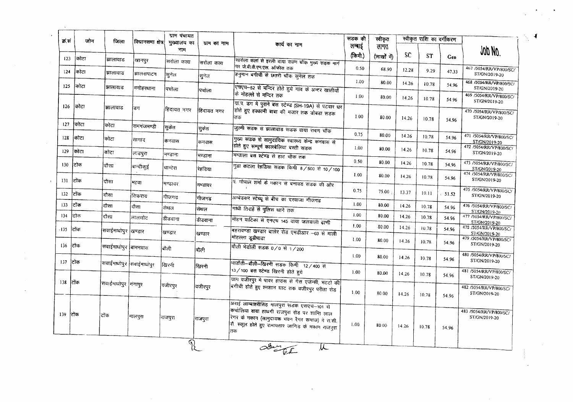| झालावाड<br>झालावाड<br>झालावाड<br>झालावाड<br>कोटा<br>कोटा<br>कोटा<br>दौरा<br>दौसा<br>दौसा | खानपुर<br>झालशपाटन<br>मनोहरथाना<br>डिग<br>रामगंजमण्डी<br>सागाद<br>लाडपुरा<br>बान्दीकुई<br>महवा | नाम<br>सिरोला कला<br> सुनेल<br>पिचोला<br>हिदायत नगर<br> सुकेत<br>कनवास<br>मण्डाना<br>चान्देरा               | सिरोला कला<br>सुनेल<br>पिचोला<br>हिदायत नगर<br>सुकेत<br>कनवास<br>मण्डाना<br>रेहडिया | कार्य का नाम<br>सारोला कला से इरली वाया रावण चौक मुख्य सड़क मार्ग<br>पर जे.वी.वी.एन.एल. ऑफीस तक<br>हनुमान बगीची से छतरी चौक सुनेल तक<br>रचएच-52 से मन्दिर होते हुये गांव के अन्दर खातीयों<br>के मोहल्ले से मन्दिर तक<br>या.प. डग मे पुराने बस स्टेण्ड (SH-19A) से पटवार धर<br>होते हुए हक्कॉनी बाबा की मजार तक डोबडा सड़क<br>तक<br>जुल्मी सडक से झालावाड सडक वाया रावण चौंक<br>गुख्य सडक से सामुदायिक स्वास्थ्य केन्द्र कनवास से<br>होते हुए सम्पूर्ण कालबेलिया बस्ती सडक<br>मन्जाला बस स्टेण्ड से हाट चौक तक | लम्बाई<br>(किमी.)<br>0.50<br>1.00<br>1.00<br>1.00<br>0.75<br>1.00                                                                                                                                                                                                                                                                                                                                                                                                                                                                                     | लागत<br>(लाखों में)<br>68.90<br>80.00<br>80.00<br>80.00<br>80.00<br>80.00 | <b>SC</b><br>12.28<br>14.26<br>14.26<br>14.26<br>14.26<br>14.26 | ST<br>9.29<br>10.78<br>10.78<br>10.78<br>10.78 | <b>Gen</b><br>47.33<br>54.96<br>54.96<br>54.96<br>54.96 | JOD NO.<br>467 /5054/RR/VP/800/SC/<br>ST/GN/2019-20<br>468 /5054/RR/VP/800/SC/<br>ST/GN/2019-20<br>469 /5054/RR/VP/800/SC/<br>ST/GN/2019-20<br>470 /5054/RR/VP/800/SC/<br>ST/GN/2019-20<br>471 /5054/RR/VP/800/SC/<br>ST/GN/2019-20 |
|------------------------------------------------------------------------------------------|------------------------------------------------------------------------------------------------|-------------------------------------------------------------------------------------------------------------|-------------------------------------------------------------------------------------|---------------------------------------------------------------------------------------------------------------------------------------------------------------------------------------------------------------------------------------------------------------------------------------------------------------------------------------------------------------------------------------------------------------------------------------------------------------------------------------------------------------|-------------------------------------------------------------------------------------------------------------------------------------------------------------------------------------------------------------------------------------------------------------------------------------------------------------------------------------------------------------------------------------------------------------------------------------------------------------------------------------------------------------------------------------------------------|---------------------------------------------------------------------------|-----------------------------------------------------------------|------------------------------------------------|---------------------------------------------------------|-------------------------------------------------------------------------------------------------------------------------------------------------------------------------------------------------------------------------------------|
|                                                                                          |                                                                                                |                                                                                                             |                                                                                     |                                                                                                                                                                                                                                                                                                                                                                                                                                                                                                               |                                                                                                                                                                                                                                                                                                                                                                                                                                                                                                                                                       |                                                                           |                                                                 |                                                |                                                         |                                                                                                                                                                                                                                     |
|                                                                                          |                                                                                                |                                                                                                             |                                                                                     |                                                                                                                                                                                                                                                                                                                                                                                                                                                                                                               |                                                                                                                                                                                                                                                                                                                                                                                                                                                                                                                                                       |                                                                           |                                                                 |                                                |                                                         |                                                                                                                                                                                                                                     |
|                                                                                          |                                                                                                |                                                                                                             |                                                                                     |                                                                                                                                                                                                                                                                                                                                                                                                                                                                                                               |                                                                                                                                                                                                                                                                                                                                                                                                                                                                                                                                                       |                                                                           |                                                                 |                                                |                                                         |                                                                                                                                                                                                                                     |
|                                                                                          |                                                                                                |                                                                                                             |                                                                                     |                                                                                                                                                                                                                                                                                                                                                                                                                                                                                                               |                                                                                                                                                                                                                                                                                                                                                                                                                                                                                                                                                       |                                                                           |                                                                 |                                                |                                                         |                                                                                                                                                                                                                                     |
|                                                                                          |                                                                                                |                                                                                                             |                                                                                     |                                                                                                                                                                                                                                                                                                                                                                                                                                                                                                               |                                                                                                                                                                                                                                                                                                                                                                                                                                                                                                                                                       |                                                                           |                                                                 |                                                |                                                         |                                                                                                                                                                                                                                     |
|                                                                                          |                                                                                                |                                                                                                             |                                                                                     |                                                                                                                                                                                                                                                                                                                                                                                                                                                                                                               |                                                                                                                                                                                                                                                                                                                                                                                                                                                                                                                                                       |                                                                           |                                                                 |                                                |                                                         |                                                                                                                                                                                                                                     |
|                                                                                          |                                                                                                |                                                                                                             |                                                                                     |                                                                                                                                                                                                                                                                                                                                                                                                                                                                                                               |                                                                                                                                                                                                                                                                                                                                                                                                                                                                                                                                                       |                                                                           |                                                                 |                                                |                                                         |                                                                                                                                                                                                                                     |
|                                                                                          |                                                                                                |                                                                                                             |                                                                                     |                                                                                                                                                                                                                                                                                                                                                                                                                                                                                                               |                                                                                                                                                                                                                                                                                                                                                                                                                                                                                                                                                       |                                                                           |                                                                 |                                                |                                                         | 472 /5054/RR/VP/800/SC/                                                                                                                                                                                                             |
|                                                                                          |                                                                                                |                                                                                                             |                                                                                     |                                                                                                                                                                                                                                                                                                                                                                                                                                                                                                               |                                                                                                                                                                                                                                                                                                                                                                                                                                                                                                                                                       |                                                                           |                                                                 | 10.78                                          | 54.96                                                   | ST/GN/2019-20                                                                                                                                                                                                                       |
|                                                                                          |                                                                                                |                                                                                                             |                                                                                     | गुढा कटला रेहडिया सडक किमी 8/500 से 10/100                                                                                                                                                                                                                                                                                                                                                                                                                                                                    | 0.50                                                                                                                                                                                                                                                                                                                                                                                                                                                                                                                                                  | 80.00                                                                     | 14.26                                                           | 10.78                                          | 54.96                                                   | 473 /5054/RR/VP/800/SC/<br>ST/GN/2019-20                                                                                                                                                                                            |
|                                                                                          |                                                                                                | मण्डावर                                                                                                     | मण्डावर                                                                             | प. गोपाल शर्मा के मकान से बनावड सड़क की ओर                                                                                                                                                                                                                                                                                                                                                                                                                                                                    | 1.00                                                                                                                                                                                                                                                                                                                                                                                                                                                                                                                                                  | 80.00                                                                     | 14.26                                                           | 10.78                                          | 54.96                                                   | 474 /5054/RR/VP/800/SC/<br>ST/GN/2019-20                                                                                                                                                                                            |
|                                                                                          | सिकराय                                                                                         | गीजगढ                                                                                                       |                                                                                     |                                                                                                                                                                                                                                                                                                                                                                                                                                                                                                               | 0.75                                                                                                                                                                                                                                                                                                                                                                                                                                                                                                                                                  | 75.00                                                                     | 13.37                                                           | 10.11                                          | 51.52                                                   | 475 /5054/RR/VP/800/SC/<br>ST/GN/2019-20                                                                                                                                                                                            |
| दौसा                                                                                     | दौसा                                                                                           | सेथल                                                                                                        | गीजगढ<br>सेथल                                                                       | अम्बेडकर स्टेच्यू से बीच का दरवाजा गीजगढ<br>गांधी तिराहे से पुलिस थाने तक                                                                                                                                                                                                                                                                                                                                                                                                                                     | 1.00                                                                                                                                                                                                                                                                                                                                                                                                                                                                                                                                                  | 80.00                                                                     | 14.26                                                           | 10.78                                          | 54.96                                                   | 476 /5054/RR/VP/800/SC/                                                                                                                                                                                                             |
| दौसा                                                                                     | लालसोट                                                                                         | डीडवाना                                                                                                     | डीडवाना                                                                             |                                                                                                                                                                                                                                                                                                                                                                                                                                                                                                               | 1.00                                                                                                                                                                                                                                                                                                                                                                                                                                                                                                                                                  | 80.00                                                                     | 14.26                                                           | 10.78                                          | 54.96                                                   | ST/GN/2019-20<br>477 /5054/RR/VP/800/SC/                                                                                                                                                                                            |
|                                                                                          |                                                                                                |                                                                                                             |                                                                                     |                                                                                                                                                                                                                                                                                                                                                                                                                                                                                                               | 1.00                                                                                                                                                                                                                                                                                                                                                                                                                                                                                                                                                  | 30.00                                                                     | 14.26                                                           | 10.78                                          | 54.96                                                   | ST/GN/2019-20<br>478 /5054/RR/VP/800/SC/<br>ST/GN/2019-20                                                                                                                                                                           |
|                                                                                          |                                                                                                |                                                                                                             |                                                                                     |                                                                                                                                                                                                                                                                                                                                                                                                                                                                                                               | 1.00                                                                                                                                                                                                                                                                                                                                                                                                                                                                                                                                                  | 80.00                                                                     | 14.26                                                           | 10.78                                          | 54.96                                                   | 479 /5054/RR/VP/800/SC/<br>ST/GN/2019-20                                                                                                                                                                                            |
|                                                                                          |                                                                                                |                                                                                                             |                                                                                     |                                                                                                                                                                                                                                                                                                                                                                                                                                                                                                               | 1.00                                                                                                                                                                                                                                                                                                                                                                                                                                                                                                                                                  | 80.00                                                                     | 14.26                                                           | 10.78                                          | 54.96                                                   | 480 /5054/RR/VP/800/SC/<br>ST/GN/2019-20                                                                                                                                                                                            |
|                                                                                          |                                                                                                |                                                                                                             | खिरनी                                                                               | 13 / 100 बस स्टेण्ड खिरनी होते हुये                                                                                                                                                                                                                                                                                                                                                                                                                                                                           | 1.00                                                                                                                                                                                                                                                                                                                                                                                                                                                                                                                                                  | 80.00                                                                     | 14.26                                                           | 10.78                                          | 54.96                                                   | 481 /5054/RR/VP/800/SC/<br>ST/GN/2019-20                                                                                                                                                                                            |
|                                                                                          |                                                                                                |                                                                                                             | वजीरपूर                                                                             |                                                                                                                                                                                                                                                                                                                                                                                                                                                                                                               | 1.00                                                                                                                                                                                                                                                                                                                                                                                                                                                                                                                                                  | 80.00                                                                     | 14.26                                                           |                                                |                                                         | 482 /5054/RR/VP/800/SC/<br>ST/GN/2019-20                                                                                                                                                                                            |
| टोक                                                                                      |                                                                                                |                                                                                                             |                                                                                     |                                                                                                                                                                                                                                                                                                                                                                                                                                                                                                               | 1.00                                                                                                                                                                                                                                                                                                                                                                                                                                                                                                                                                  | 80.00                                                                     | 14.26                                                           | 10.78                                          | 54.96                                                   | 483 /5054/RR/VP/800/SC/<br>ST/GN/2019-20                                                                                                                                                                                            |
|                                                                                          |                                                                                                | सवाईमाधोपुर  खण्डार<br> सवाईमाधोपुर  बामनवास<br>सवाईमाधोपुर सिवाईमाधोपुर<br> सवाईमाधोपुर  गगापुर<br>मालपुरा | खण्डार<br>बौली<br>खिरनी<br> वजीरपुर<br>राजपुरा                                      | खण्डार<br>बौली<br> राजपुरा<br>$\widehat{\mathcal{P}}$                                                                                                                                                                                                                                                                                                                                                                                                                                                         | मोहन वाटिका से एनएच 145 वाया जलवाली ढाणी<br>बहरावण्डा खण्डार वालेर रोड एमडीआर -03 से माली<br> मोहल्ला डूडीपाडा<br>बौली भेडोली सडक 0/0 से 1/200<br>माडौती-बाँली-खिरनी सडक किमी 12/400 से<br>ग्राग वजीरपुर मे पावर हाउस से गैस एजेन्सी, मटटो की<br>बगीची होते हुए श्मशान घाट तक वजीरपुर परीता रोड<br>अराई लाम्बाहरीसिंह मालपुरा सडक एसएच-101 से<br>किचोलिया वाया हाथगी राजपुरा रोड पर शान्ति लाल<br>रिगर के मकान (सामुदायक भवन रैगर समाज) में रा.सी.<br>(रौ. स्कूल होते हुए रामावतार जागिड के मकान राजपुरा<br>तक<br>obuy El<br>$\overline{\mathcal{K}}$ |                                                                           |                                                                 |                                                | 10.78                                                   | 54.96                                                                                                                                                                                                                               |

 $\Delta$  C  $_{\odot}$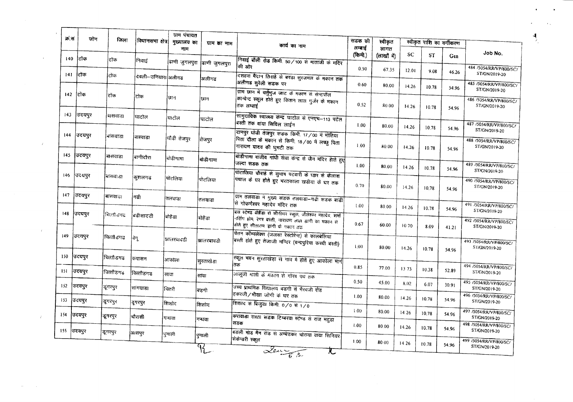| क्र.स | जोन         | जिला       | विधानसमा क्षेत्र    | ग्राम पंचायत<br>मुख्यालय का | ग्राम का नाम                 | कार्य का नाम                                                                                                      | सडक की           | स्वीकृत             |       | स्वीकृत राशि का वर्गीकरण |       |                                          |
|-------|-------------|------------|---------------------|-----------------------------|------------------------------|-------------------------------------------------------------------------------------------------------------------|------------------|---------------------|-------|--------------------------|-------|------------------------------------------|
| 140   | टोंक        | टोक        |                     | नाम                         |                              |                                                                                                                   | लम्बाई<br>(किमी) | लागत<br>(लाखों में) | SC    | ST                       | Gen   | Job No.                                  |
|       |             |            | निवाइं              |                             | ढाणी जुगलपुरा  ढाणी जुगलपुरा | निवाई बोली रोड किमी. 50/100 से माताजी के मंदिर<br>की ओर                                                           | 0.50             | 67.35               | 12.01 | 9.08                     | 46.26 | 484 /5054/RR/VP/800/SC/                  |
| 141   | टोंक        | टोंक       | दंवली—उनियार। अलीगढ |                             | अलीगढ                        | दशहरा मैदान तिराहे से बरडा सुरजमल के मकान तक<br>अलीगढ सुरेली सडक पर                                               | 0.60             | 80.00               |       |                          |       | ST/GN/2019-20<br>485 /5054/RR/VP/800/SC/ |
| 142   | टिकि        | टिक        | टोक                 | ফান                         | छान                          | ग्राम छान में चर्तुभुज जाट के मकान से सेन्टपॉल                                                                    |                  |                     | 14.26 | 10.78                    | 54.96 | ST/GN/2019-20                            |
|       |             |            |                     |                             |                              | कान्चेन्ट स्कूल होते हुए किशन लाल गुर्जर के मकान<br>तक लम्बाई                                                     | 0.52             | 80.00               | 14.26 | 10.78                    | 54.96 | 486 /5054/RR/VP/800/SC/<br>ST/GN/2019-20 |
| 143   | उदयपुर      | बासवाडा    | घाटोल               | घाटोल                       | घाटोल                        | सामुदायिक स्वास्थ्य केन्द्र घाटोल से एनएच-113 पटेल<br>बस्ती तक वांया सिविल लाईन                                   | 1.00             | 80.00               |       |                          |       | 487/5054/RR/VP/800/SC/                   |
| 144   | उदयपुर      | भांसवाडा   | बास्वाडा            | धौडी तेजपुर                 |                              | दानपुर घोडी तेजपुर सडक किमी 17/00 में मोतिया                                                                      |                  |                     | 14.26 | 10.78                    | 54.96 | ST/GN/2019-20                            |
|       |             |            |                     |                             | तेजपुर                       | पिता दौला के मकान से किमी. 18/00 में लच्छु पिता<br>नारायण यादव की घुमटी तक                                        | 1.00             | 80.00               | 14.26 | 10.78                    | 54.96 | 488 /5054/RR/VP/800/SC/<br>ST/GN/2019-20 |
| 145   | उदयपुर      | बांसवाडा   | बागीदौरा            | बोडीगामा                    | बोडीगामा                     | बोडीगामा राजीव गांधी सेवा केन्द्र से जैन मंदिर होते हुए<br>जल्दा सडक तक                                           | 1.00             | 80.00               | 14.26 | 10.78                    |       | 489 /5054/RR/VP/800/SC/                  |
| 146   | उदयपुर      | बासवा डा   | कशलगढ               | पोटलिया                     | पोटलिया                      | पोटालिया चौराहे से सुभाष पटवारी के घ्डार से केलाश<br>पचाल के घर होते हुए भरतकाला खडीया के घर तक                   |                  |                     |       |                          | 54.96 | ST/GN/2019-20<br>490 /5054/RR/VP/800/SC/ |
|       |             |            |                     |                             |                              |                                                                                                                   | 0.70             | 80.00               | 14.26 | 10.78                    | 54.96 | ST/GN/2019-20                            |
| 147   | उदयपूर      | बासवाउ।    | ਾਫੀ                 | तलवाडा                      | तलवाडा                       | ग्राम तलवाडा में मुख्य सडक तलवाडा-गढी सडक बाडी<br>सि गोकर्णेश्वर महादेव मंदिर तक                                  | 1.00             | 80.00               | 14.26 | 10.78                    |       | 491 /5054/RR/VP/800/SC/                  |
| 148   | उदयपुर      | चित्तौडगढ  | बडीसादडी            | बोहैडा                      | बोहैंडा                      | बस स्टेण्ड बोहैडा से सीनीयर स्कुल, जीतेश्वर महादेव, शर्मा<br>नर्सिंग होम, रेगर बस्ती, नारायण लाल झांगी का मकान से | 0.67             |                     |       |                          | 54.96 | ST/GN/2019-20<br>492 /5054/RR/VP/800/SC/ |
| 149   | उदयपुर      |            |                     |                             |                              | होते हुए सीताराम इांगी के मकान तक<br>चेतन कॉम्पलेक्स (जलसा रेस्टोरेन्ट) से कालबेलिया                              |                  | 60.00               | 1070  | 8.09                     | 41.21 | ST/GN/2019-20                            |
|       |             | चित्तौडगढ  | वेगू                | आलरवावडी                    | झालरबावडी                    | बस्ती होते हुए तेजाजी मन्दिर (चन्द्रपुरिया कच्ची बस्ती)                                                           | 1.00             | 80.00               | 14.26 | 10.78                    | 54.96 | 493 /5054/RR/VP/800/SC/<br>ST/GN/2019-20 |
| 150   | उदयपुर      | चित्ताौडगढ | कपासन               | आर्कोला                     | सुरताखेडा                    | स्कूल भवन सुरताखंड़ा से गांव में होते हुए आकोला मार्ग<br>तक                                                       |                  |                     |       |                          |       |                                          |
| 151   | उदयपुर      | चित्तौडगढ  | यित्तौडगढ           | सावा                        | सावा                         | लालूजी भाली के मकान से गौरव पथ तक                                                                                 | 0.85             | 77.00               | 1373  | 10.38                    | 52.89 | 494 /5054/RR/VP/800/SC/<br>ST/GN/2019-20 |
| 152   | उदयपुर      | डूंगरपुर   | सांगवाडा            | यितरी                       | बिडगी                        | उच्च प्राथमिक विद्यालय बडगी से मैरवजी रोड                                                                         | 0.50             | 45.00               | 8.02  | 6.07                     | 30.91 | 495 /5054/RR/VP/800/SC/<br>ST/GN/2019-20 |
| 153   | उदयपुर      | ङ्गरपुर    | डूगरपुर             | शिशोद                       | शिशोद                        | हकरजी/भीखा जोगी के घर तक<br>शिशाद से बिजुड़ा किमी. 0/0 से 1/0                                                     | 1.00             | 80.00               | 14.26 | 10.78                    | 54.96 | 496 /5054/RR/VP/800/SC/<br>ST/GN/2019-20 |
| 154   | उदयपुर      | इगरपुर     | चौरासी              | गन्धवा                      |                              | किरावाडा रास्ता सडक टिम्बरवा स्टेण्ड से राज महुडा                                                                 | 1.00             | 80.00               | 14.26 | 10.78                    | 54.96 | 497 /5054/RR/VP/800/SC/<br>ST/GN/2019-20 |
|       | 155  उदयपुर |            |                     |                             | गन्धवा                       | सडक                                                                                                               | 1.00             | 80.00               | 14.26 | 10.78                    | 54.96 | 498 /5054/RR/VP/800/SC/<br>ST/GN/2019-20 |
|       |             | ङ्गरपुर    | आसपुर               | पनाली                       | पुनाली                       | बडली मोड मैन रोड से अम्बेडकर चोराया वाया सिनियर<br>सेकेन्डरी स्कूल                                                | 1.00.            | 80.00               | 14.26 | 10.78                    | 54.96 | 499 /5054/RR/VP/800/SC/                  |
|       |             |            |                     |                             |                              | Laure 2                                                                                                           |                  |                     |       |                          |       | ST/GN/2019-20                            |

 $\mathcal{L}_{\mathcal{L}}$